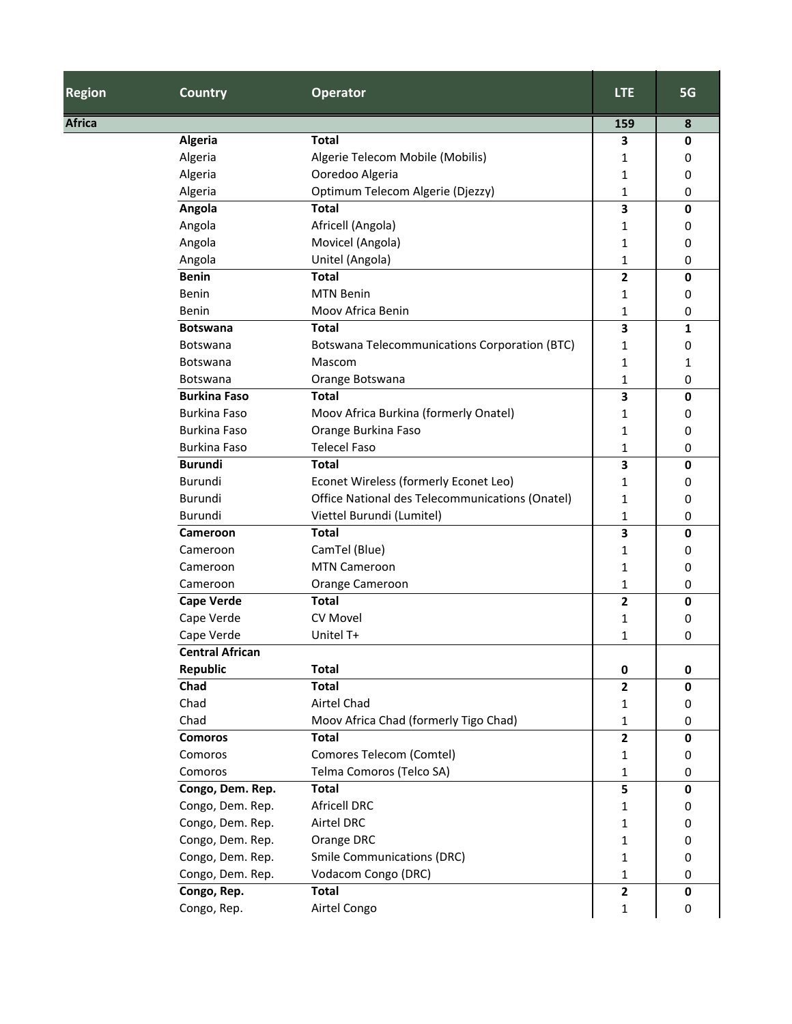| <b>Region</b> | <b>Country</b>         | <b>Operator</b>                                      | <b>LTE</b>              | 5G           |
|---------------|------------------------|------------------------------------------------------|-------------------------|--------------|
| <b>Africa</b> |                        |                                                      | 159                     | 8            |
|               | Algeria                | <b>Total</b>                                         | 3                       | $\mathbf 0$  |
|               | Algeria                | Algerie Telecom Mobile (Mobilis)                     | 1                       | 0            |
|               | Algeria                | Ooredoo Algeria                                      | 1                       | 0            |
|               | Algeria                | Optimum Telecom Algerie (Djezzy)                     | 1                       | 0            |
|               | Angola                 | <b>Total</b>                                         | 3                       | 0            |
|               | Angola                 | Africell (Angola)                                    | 1                       | 0            |
|               | Angola                 | Movicel (Angola)                                     | 1                       | 0            |
|               | Angola                 | Unitel (Angola)                                      | 1                       | 0            |
|               | <b>Benin</b>           | <b>Total</b>                                         | $\overline{\mathbf{2}}$ | $\mathbf 0$  |
|               | Benin                  | <b>MTN Benin</b>                                     | 1                       | 0            |
|               | Benin                  | Moov Africa Benin                                    | 1                       | 0            |
|               | <b>Botswana</b>        | <b>Total</b>                                         | $\overline{\mathbf{3}}$ | 1            |
|               | Botswana               | <b>Botswana Telecommunications Corporation (BTC)</b> | 1                       | 0            |
|               | Botswana               | Mascom                                               | 1                       | 1            |
|               | Botswana               | Orange Botswana                                      | 1                       | 0            |
|               | <b>Burkina Faso</b>    | <b>Total</b>                                         | 3                       | $\mathbf 0$  |
|               | <b>Burkina Faso</b>    | Moov Africa Burkina (formerly Onatel)                | 1                       | 0            |
|               | <b>Burkina Faso</b>    | Orange Burkina Faso                                  | 1                       | 0            |
|               | <b>Burkina Faso</b>    | <b>Telecel Faso</b>                                  | 1                       | 0            |
|               | <b>Burundi</b>         | <b>Total</b>                                         | 3                       | 0            |
|               | Burundi                | Econet Wireless (formerly Econet Leo)                | 1                       | 0            |
|               | Burundi                | Office National des Telecommunications (Onatel)      | 1                       | 0            |
|               | Burundi                | Viettel Burundi (Lumitel)                            | 1                       | 0            |
|               | Cameroon               | <b>Total</b>                                         | $\overline{\mathbf{3}}$ | $\mathbf{0}$ |
|               | Cameroon               | CamTel (Blue)                                        | 1                       | 0            |
|               | Cameroon               | <b>MTN Cameroon</b>                                  | 1                       | 0            |
|               | Cameroon               | Orange Cameroon                                      | 1                       | 0            |
|               | <b>Cape Verde</b>      | <b>Total</b>                                         | $\mathbf{2}$            | $\mathbf 0$  |
|               | Cape Verde             | <b>CV Movel</b>                                      | 1                       | 0            |
|               | Cape Verde             | Unitel T+                                            | 1                       | 0            |
|               | <b>Central African</b> |                                                      |                         |              |
|               | <b>Republic</b>        | <b>Total</b>                                         | 0                       | 0            |
|               | Chad                   | <b>Total</b>                                         | $\mathbf{2}$            | $\mathbf 0$  |
|               | Chad                   | Airtel Chad                                          | 1                       | 0            |
|               | Chad                   | Moov Africa Chad (formerly Tigo Chad)                | 1                       | 0            |
|               | <b>Comoros</b>         | <b>Total</b>                                         | $\mathbf{2}$            | $\mathbf 0$  |
|               | Comoros                | Comores Telecom (Comtel)                             | 1                       | 0            |
|               | Comoros                | Telma Comoros (Telco SA)                             | 1                       | 0            |
|               | Congo, Dem. Rep.       | <b>Total</b>                                         | 5                       | $\mathbf 0$  |
|               | Congo, Dem. Rep.       | <b>Africell DRC</b>                                  | 1                       | 0            |
|               | Congo, Dem. Rep.       | Airtel DRC                                           | 1                       | 0            |
|               | Congo, Dem. Rep.       | Orange DRC                                           | 1                       | 0            |
|               | Congo, Dem. Rep.       | <b>Smile Communications (DRC)</b>                    | $\mathbf 1$             | 0            |
|               | Congo, Dem. Rep.       | Vodacom Congo (DRC)                                  | 1                       | 0            |
|               | Congo, Rep.            | <b>Total</b>                                         | $\mathbf{2}$            | $\mathbf 0$  |
|               | Congo, Rep.            | Airtel Congo                                         | 1                       | 0            |
|               |                        |                                                      |                         |              |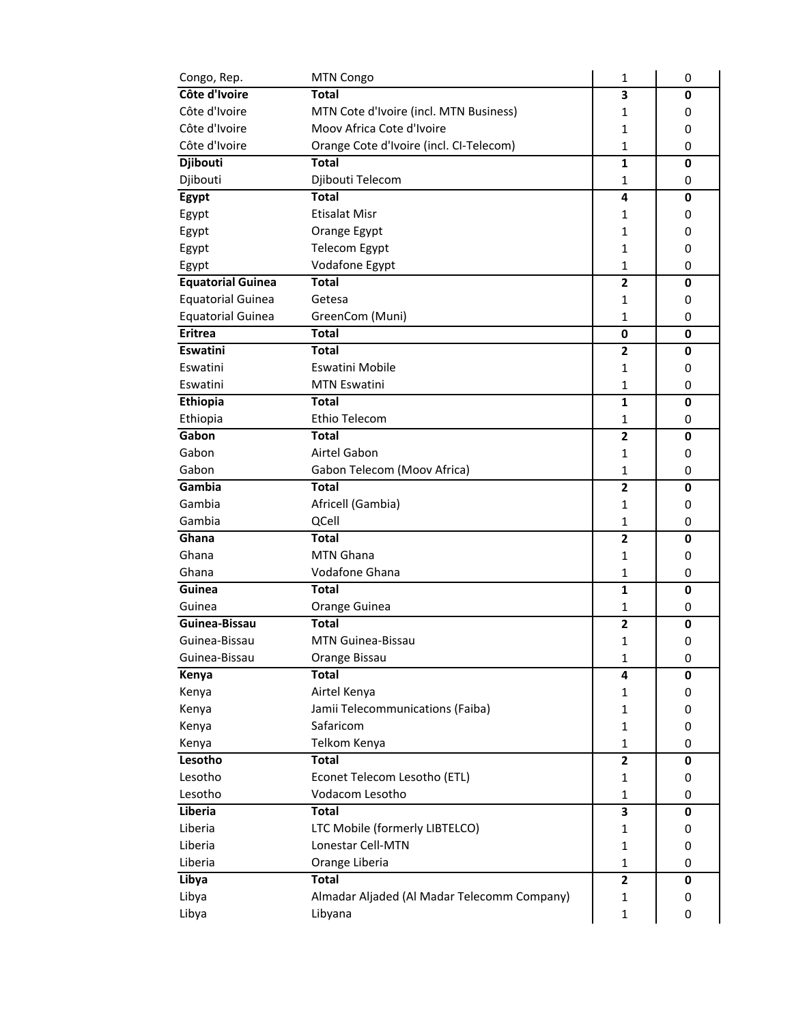| Congo, Rep.              | MTN Congo                                   | 1              | 0           |
|--------------------------|---------------------------------------------|----------------|-------------|
| Côte d'Ivoire            | <b>Total</b>                                | 3              | 0           |
| Côte d'Ivoire            | MTN Cote d'Ivoire (incl. MTN Business)      | 1              | 0           |
| Côte d'Ivoire            | Moov Africa Cote d'Ivoire                   | 1              | 0           |
| Côte d'Ivoire            | Orange Cote d'Ivoire (incl. CI-Telecom)     | $\mathbf{1}$   | 0           |
| Djibouti                 | <b>Total</b>                                | 1              | $\mathbf 0$ |
| Djibouti                 | Djibouti Telecom                            | 1              | 0           |
| Egypt                    | <b>Total</b>                                | 4              | $\mathbf 0$ |
| Egypt                    | <b>Etisalat Misr</b>                        | 1              | 0           |
| Egypt                    | Orange Egypt                                | $\mathbf{1}$   | 0           |
| Egypt                    | <b>Telecom Egypt</b>                        | 1              | 0           |
| Egypt                    | Vodafone Egypt                              | 1              | 0           |
| <b>Equatorial Guinea</b> | <b>Total</b>                                | $\overline{2}$ | 0           |
| <b>Equatorial Guinea</b> | Getesa                                      | 1              | 0           |
| <b>Equatorial Guinea</b> | GreenCom (Muni)                             | $\mathbf{1}$   | 0           |
| <b>Eritrea</b>           | <b>Total</b>                                | $\bf{0}$       | 0           |
| Eswatini                 | Total                                       | $\overline{2}$ | 0           |
| Eswatini                 | Eswatini Mobile                             | 1              | 0           |
| Eswatini                 | <b>MTN Eswatini</b>                         | 1              | 0           |
| <b>Ethiopia</b>          | <b>Total</b>                                | $\mathbf{1}$   | 0           |
| Ethiopia                 | Ethio Telecom                               | 1              | 0           |
| Gabon                    | <b>Total</b>                                | $\overline{2}$ | 0           |
| Gabon                    | Airtel Gabon                                | 1              | 0           |
| Gabon                    | Gabon Telecom (Moov Africa)                 | 1              | 0           |
| Gambia                   | Total                                       | $\mathbf{2}$   | 0           |
| Gambia                   | Africell (Gambia)                           | 1              | 0           |
| Gambia                   | QCell                                       | 1              | 0           |
| Ghana                    | <b>Total</b>                                | 2              | 0           |
| Ghana                    | <b>MTN Ghana</b>                            | 1              | 0           |
| Ghana                    | Vodafone Ghana                              | $\mathbf{1}$   | 0           |
| Guinea                   | <b>Total</b>                                | 1              | 0           |
| Guinea                   | Orange Guinea                               | 1              | 0           |
| Guinea-Bissau            | <b>Total</b>                                | $\overline{2}$ | 0           |
| Guinea-Bissau            | <b>MTN Guinea-Bissau</b>                    | 1              | 0           |
| Guinea-Bissau            | Orange Bissau                               | $\mathbf{1}$   | 0           |
| Kenya                    | <b>Total</b>                                | 4              | 0           |
| Kenya                    | Airtel Kenya                                | 1              | 0           |
| Kenya                    | Jamii Telecommunications (Faiba)            | 1              | 0           |
| Kenya                    | Safaricom                                   | 1              | 0           |
| Kenya                    | Telkom Kenya                                | $\mathbf{1}$   | 0           |
| Lesotho                  | <b>Total</b>                                | $\mathbf{2}$   | $\mathbf 0$ |
| Lesotho                  | Econet Telecom Lesotho (ETL)                | 1              | 0           |
| Lesotho                  | Vodacom Lesotho                             | $\mathbf{1}$   | 0           |
| Liberia                  | <b>Total</b>                                | 3              | $\mathbf 0$ |
| Liberia                  | LTC Mobile (formerly LIBTELCO)              | 1              | 0           |
| Liberia                  | Lonestar Cell-MTN                           | 1              | 0           |
| Liberia                  | Orange Liberia                              | 1              | 0           |
| Libya                    | <b>Total</b>                                | $\overline{2}$ | $\mathbf 0$ |
| Libya                    | Almadar Aljaded (Al Madar Telecomm Company) | 1              | 0           |
| Libya                    | Libyana                                     | $\mathbf{1}$   | 0           |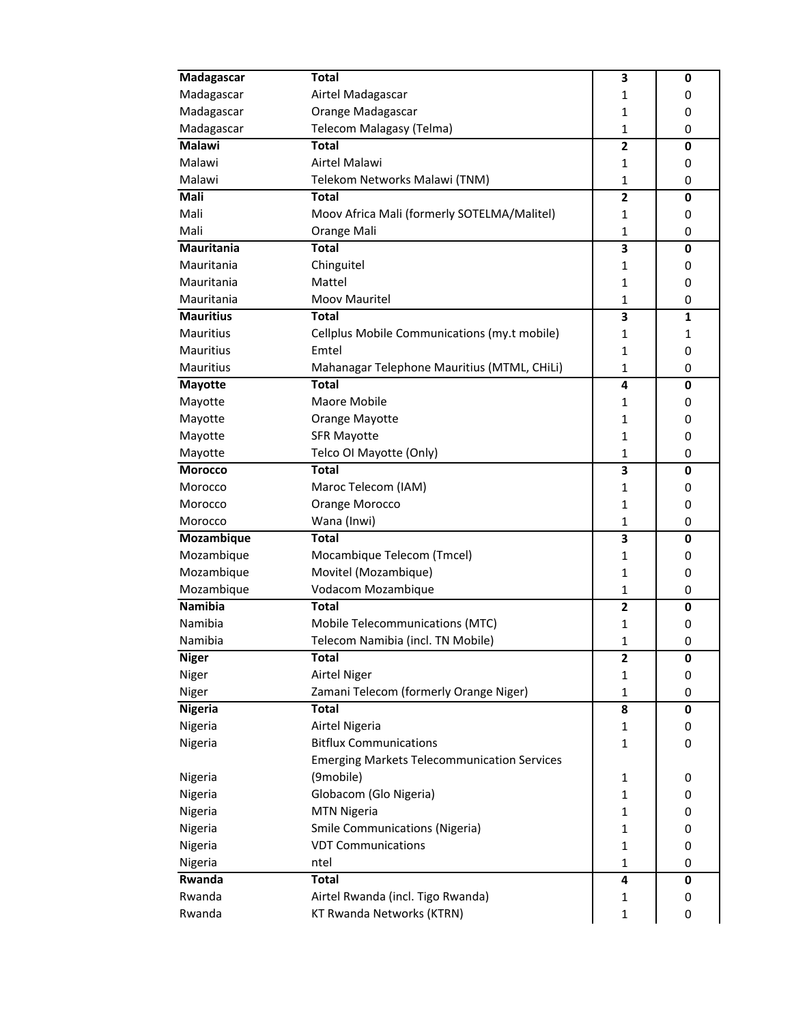| Madagascar       | <b>Total</b>                                       | 3                       | 0            |
|------------------|----------------------------------------------------|-------------------------|--------------|
| Madagascar       | Airtel Madagascar                                  | 1                       | 0            |
| Madagascar       | Orange Madagascar                                  | 1                       | 0            |
| Madagascar       | Telecom Malagasy (Telma)                           | 1                       | 0            |
| <b>Malawi</b>    | <b>Total</b>                                       | $\overline{\mathbf{c}}$ | $\mathbf 0$  |
| Malawi           | Airtel Malawi                                      | 1                       | 0            |
| Malawi           | Telekom Networks Malawi (TNM)                      | $\mathbf{1}$            | 0            |
| Mali             | <b>Total</b>                                       | $\overline{2}$          | 0            |
| Mali             | Moov Africa Mali (formerly SOTELMA/Malitel)        | 1                       | 0            |
| Mali             | Orange Mali                                        | $\mathbf{1}$            | 0            |
| Mauritania       | <b>Total</b>                                       | 3                       | 0            |
| Mauritania       | Chinguitel                                         | 1                       | 0            |
| Mauritania       | Mattel                                             | 1                       | 0            |
| Mauritania       | Moov Mauritel                                      | 1                       | 0            |
| <b>Mauritius</b> | <b>Total</b>                                       | 3                       | $\mathbf{1}$ |
| Mauritius        | Cellplus Mobile Communications (my.t mobile)       | 1                       | 1            |
| Mauritius        | Emtel                                              | $\mathbf{1}$            | 0            |
| Mauritius        | Mahanagar Telephone Mauritius (MTML, CHiLi)        | $\mathbf{1}$            | 0            |
| <b>Mayotte</b>   | <b>Total</b>                                       | 4                       | 0            |
| Mayotte          | Maore Mobile                                       | 1                       | 0            |
| Mayotte          | Orange Mayotte                                     | 1                       | 0            |
| Mayotte          | <b>SFR Mayotte</b>                                 | $\mathbf{1}$            | 0            |
| Mayotte          | Telco OI Mayotte (Only)                            | $\mathbf{1}$            | 0            |
| <b>Morocco</b>   | <b>Total</b>                                       | 3                       | 0            |
| Morocco          | Maroc Telecom (IAM)                                | $\mathbf{1}$            | 0            |
| Morocco          | Orange Morocco                                     | $\mathbf{1}$            | 0            |
| Morocco          | Wana (Inwi)                                        | $\mathbf{1}$            | 0            |
| Mozambique       | <b>Total</b>                                       | 3                       | 0            |
| Mozambique       | Mocambique Telecom (Tmcel)                         | 1                       | 0            |
| Mozambique       | Movitel (Mozambique)                               | 1                       | 0            |
| Mozambique       | Vodacom Mozambique                                 | 1                       | 0            |
| Namibia          | <b>Total</b>                                       | $\overline{2}$          | 0            |
| Namibia          | Mobile Telecommunications (MTC)                    | 1                       | 0            |
| Namibia          | Telecom Namibia (incl. TN Mobile)                  | 1                       | 0            |
| <b>Niger</b>     | <b>Total</b>                                       | 2                       | 0            |
| Niger            | <b>Airtel Niger</b>                                | 1                       | 0            |
| Niger            | Zamani Telecom (formerly Orange Niger)             | $\mathbf{1}$            | 0            |
| <b>Nigeria</b>   | <b>Total</b>                                       | 8                       | $\mathbf 0$  |
| Nigeria          | Airtel Nigeria                                     | 1                       | 0            |
| Nigeria          | <b>Bitflux Communications</b>                      | $\mathbf{1}$            | 0            |
|                  | <b>Emerging Markets Telecommunication Services</b> |                         |              |
| Nigeria          | (9mobile)                                          | 1                       | 0            |
| Nigeria          | Globacom (Glo Nigeria)                             | 1                       | 0            |
| Nigeria          | <b>MTN Nigeria</b>                                 | 1                       | 0            |
| Nigeria          | <b>Smile Communications (Nigeria)</b>              | 1                       | 0            |
| Nigeria          | <b>VDT Communications</b>                          | $\mathbf{1}$            | 0            |
| Nigeria          | ntel                                               | $\mathbf{1}$            | 0            |
| Rwanda           | <b>Total</b>                                       | 4                       | $\mathbf 0$  |
| Rwanda           | Airtel Rwanda (incl. Tigo Rwanda)                  | 1                       | 0            |
|                  | KT Rwanda Networks (KTRN)                          |                         |              |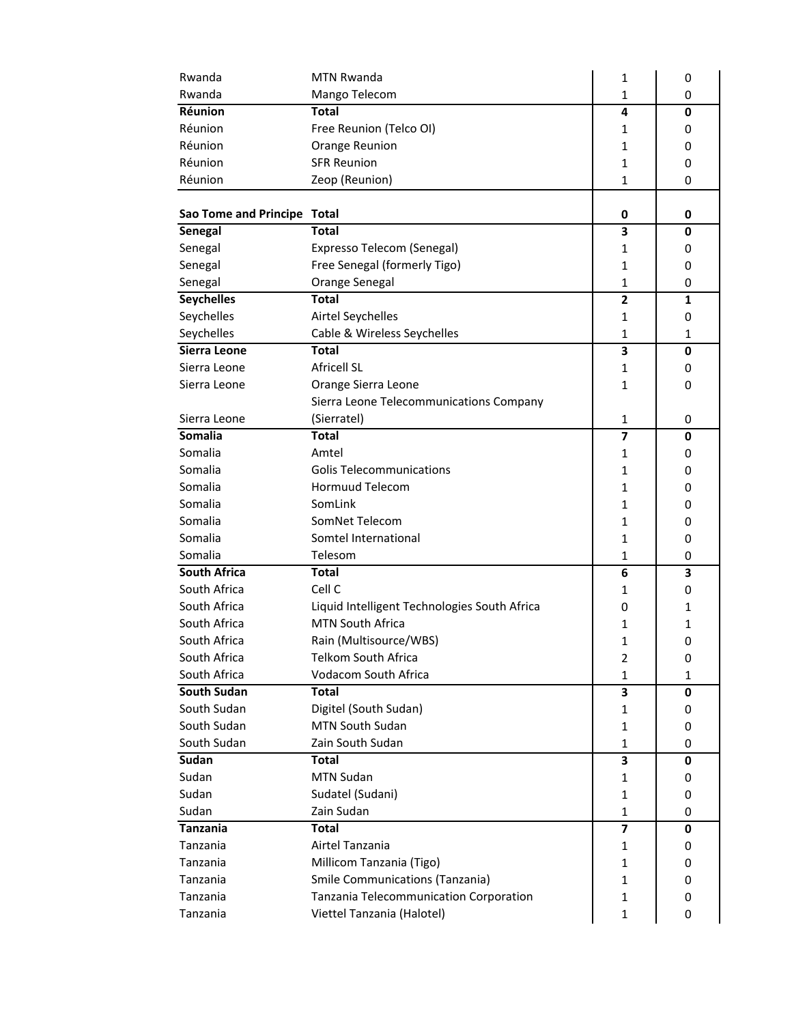| Mango Telecom<br>Rwanda<br>1<br>0<br>Réunion<br><b>Total</b><br>4<br>0<br>Réunion<br>Free Reunion (Telco OI)<br>1<br>0<br>Réunion<br>Orange Reunion<br>1<br>0<br>Réunion<br><b>SFR Reunion</b><br>1<br>0<br>Réunion<br>Zeop (Reunion)<br>1<br>0<br>Sao Tome and Principe Total<br>0<br>0<br><b>Total</b><br>3<br>Senegal<br>0<br>Senegal<br>Expresso Telecom (Senegal)<br>1<br>0<br>Senegal<br>Free Senegal (formerly Tigo)<br>1<br>0<br>Orange Senegal<br>Senegal<br>1<br>0<br><b>Seychelles</b><br><b>Total</b><br>2<br>1<br>Seychelles<br>Airtel Seychelles<br>1<br>0<br>Seychelles<br>Cable & Wireless Seychelles<br>1<br>1<br>Sierra Leone<br><b>Total</b><br>3<br>0<br><b>Africell SL</b><br>Sierra Leone<br>1<br>0<br>Sierra Leone<br>Orange Sierra Leone<br>1<br>0<br>Sierra Leone Telecommunications Company<br>Sierra Leone<br>(Sierratel)<br>1<br>0<br>Somalia<br><b>Total</b><br>7<br>0<br>Somalia<br>Amtel<br>1<br>0<br>Somalia<br><b>Golis Telecommunications</b><br>1<br>0<br>Hormuud Telecom<br>Somalia<br>1<br>0<br>Somalia<br>SomLink<br>1<br>0<br>Somalia<br>SomNet Telecom<br>1<br>0<br>Somalia<br>Somtel International<br>1<br>0<br>Somalia<br>Telesom<br>1<br>0<br><b>South Africa</b><br><b>Total</b><br>6<br>3<br>Cell C<br>South Africa<br>1<br>0<br>South Africa<br>Liquid Intelligent Technologies South Africa<br>0<br>1<br><b>MTN South Africa</b><br>South Africa<br>1<br>1<br>South Africa<br>Rain (Multisource/WBS)<br>1<br>0<br>South Africa<br><b>Telkom South Africa</b><br>2<br>0<br>South Africa<br>Vodacom South Africa<br>1<br>1<br><b>South Sudan</b><br><b>Total</b><br>3<br>0<br>South Sudan<br>Digitel (South Sudan)<br>1<br>0<br>South Sudan<br><b>MTN South Sudan</b><br>1<br>0<br>South Sudan<br>Zain South Sudan<br>$\mathbf{1}$<br>0<br>Sudan<br>Total<br>3<br>0<br>Sudan<br><b>MTN Sudan</b><br>1<br>0<br>Sudan<br>Sudatel (Sudani)<br>1<br>0<br>Sudan<br>Zain Sudan<br>1<br>0<br>Tanzania<br><b>Total</b><br>$\overline{7}$<br>0<br>Airtel Tanzania<br>Tanzania<br>1<br>0<br>Tanzania<br>Millicom Tanzania (Tigo)<br>1<br>0 | Rwanda | MTN Rwanda | 1 | 0 |
|-------------------------------------------------------------------------------------------------------------------------------------------------------------------------------------------------------------------------------------------------------------------------------------------------------------------------------------------------------------------------------------------------------------------------------------------------------------------------------------------------------------------------------------------------------------------------------------------------------------------------------------------------------------------------------------------------------------------------------------------------------------------------------------------------------------------------------------------------------------------------------------------------------------------------------------------------------------------------------------------------------------------------------------------------------------------------------------------------------------------------------------------------------------------------------------------------------------------------------------------------------------------------------------------------------------------------------------------------------------------------------------------------------------------------------------------------------------------------------------------------------------------------------------------------------------------------------------------------------------------------------------------------------------------------------------------------------------------------------------------------------------------------------------------------------------------------------------------------------------------------------------------------------------------------------------------------------------------------------------------------------------------------------------------------------------------------------|--------|------------|---|---|
|                                                                                                                                                                                                                                                                                                                                                                                                                                                                                                                                                                                                                                                                                                                                                                                                                                                                                                                                                                                                                                                                                                                                                                                                                                                                                                                                                                                                                                                                                                                                                                                                                                                                                                                                                                                                                                                                                                                                                                                                                                                                               |        |            |   |   |
|                                                                                                                                                                                                                                                                                                                                                                                                                                                                                                                                                                                                                                                                                                                                                                                                                                                                                                                                                                                                                                                                                                                                                                                                                                                                                                                                                                                                                                                                                                                                                                                                                                                                                                                                                                                                                                                                                                                                                                                                                                                                               |        |            |   |   |
|                                                                                                                                                                                                                                                                                                                                                                                                                                                                                                                                                                                                                                                                                                                                                                                                                                                                                                                                                                                                                                                                                                                                                                                                                                                                                                                                                                                                                                                                                                                                                                                                                                                                                                                                                                                                                                                                                                                                                                                                                                                                               |        |            |   |   |
|                                                                                                                                                                                                                                                                                                                                                                                                                                                                                                                                                                                                                                                                                                                                                                                                                                                                                                                                                                                                                                                                                                                                                                                                                                                                                                                                                                                                                                                                                                                                                                                                                                                                                                                                                                                                                                                                                                                                                                                                                                                                               |        |            |   |   |
|                                                                                                                                                                                                                                                                                                                                                                                                                                                                                                                                                                                                                                                                                                                                                                                                                                                                                                                                                                                                                                                                                                                                                                                                                                                                                                                                                                                                                                                                                                                                                                                                                                                                                                                                                                                                                                                                                                                                                                                                                                                                               |        |            |   |   |
|                                                                                                                                                                                                                                                                                                                                                                                                                                                                                                                                                                                                                                                                                                                                                                                                                                                                                                                                                                                                                                                                                                                                                                                                                                                                                                                                                                                                                                                                                                                                                                                                                                                                                                                                                                                                                                                                                                                                                                                                                                                                               |        |            |   |   |
|                                                                                                                                                                                                                                                                                                                                                                                                                                                                                                                                                                                                                                                                                                                                                                                                                                                                                                                                                                                                                                                                                                                                                                                                                                                                                                                                                                                                                                                                                                                                                                                                                                                                                                                                                                                                                                                                                                                                                                                                                                                                               |        |            |   |   |
|                                                                                                                                                                                                                                                                                                                                                                                                                                                                                                                                                                                                                                                                                                                                                                                                                                                                                                                                                                                                                                                                                                                                                                                                                                                                                                                                                                                                                                                                                                                                                                                                                                                                                                                                                                                                                                                                                                                                                                                                                                                                               |        |            |   |   |
|                                                                                                                                                                                                                                                                                                                                                                                                                                                                                                                                                                                                                                                                                                                                                                                                                                                                                                                                                                                                                                                                                                                                                                                                                                                                                                                                                                                                                                                                                                                                                                                                                                                                                                                                                                                                                                                                                                                                                                                                                                                                               |        |            |   |   |
|                                                                                                                                                                                                                                                                                                                                                                                                                                                                                                                                                                                                                                                                                                                                                                                                                                                                                                                                                                                                                                                                                                                                                                                                                                                                                                                                                                                                                                                                                                                                                                                                                                                                                                                                                                                                                                                                                                                                                                                                                                                                               |        |            |   |   |
|                                                                                                                                                                                                                                                                                                                                                                                                                                                                                                                                                                                                                                                                                                                                                                                                                                                                                                                                                                                                                                                                                                                                                                                                                                                                                                                                                                                                                                                                                                                                                                                                                                                                                                                                                                                                                                                                                                                                                                                                                                                                               |        |            |   |   |
|                                                                                                                                                                                                                                                                                                                                                                                                                                                                                                                                                                                                                                                                                                                                                                                                                                                                                                                                                                                                                                                                                                                                                                                                                                                                                                                                                                                                                                                                                                                                                                                                                                                                                                                                                                                                                                                                                                                                                                                                                                                                               |        |            |   |   |
|                                                                                                                                                                                                                                                                                                                                                                                                                                                                                                                                                                                                                                                                                                                                                                                                                                                                                                                                                                                                                                                                                                                                                                                                                                                                                                                                                                                                                                                                                                                                                                                                                                                                                                                                                                                                                                                                                                                                                                                                                                                                               |        |            |   |   |
|                                                                                                                                                                                                                                                                                                                                                                                                                                                                                                                                                                                                                                                                                                                                                                                                                                                                                                                                                                                                                                                                                                                                                                                                                                                                                                                                                                                                                                                                                                                                                                                                                                                                                                                                                                                                                                                                                                                                                                                                                                                                               |        |            |   |   |
|                                                                                                                                                                                                                                                                                                                                                                                                                                                                                                                                                                                                                                                                                                                                                                                                                                                                                                                                                                                                                                                                                                                                                                                                                                                                                                                                                                                                                                                                                                                                                                                                                                                                                                                                                                                                                                                                                                                                                                                                                                                                               |        |            |   |   |
|                                                                                                                                                                                                                                                                                                                                                                                                                                                                                                                                                                                                                                                                                                                                                                                                                                                                                                                                                                                                                                                                                                                                                                                                                                                                                                                                                                                                                                                                                                                                                                                                                                                                                                                                                                                                                                                                                                                                                                                                                                                                               |        |            |   |   |
|                                                                                                                                                                                                                                                                                                                                                                                                                                                                                                                                                                                                                                                                                                                                                                                                                                                                                                                                                                                                                                                                                                                                                                                                                                                                                                                                                                                                                                                                                                                                                                                                                                                                                                                                                                                                                                                                                                                                                                                                                                                                               |        |            |   |   |
|                                                                                                                                                                                                                                                                                                                                                                                                                                                                                                                                                                                                                                                                                                                                                                                                                                                                                                                                                                                                                                                                                                                                                                                                                                                                                                                                                                                                                                                                                                                                                                                                                                                                                                                                                                                                                                                                                                                                                                                                                                                                               |        |            |   |   |
|                                                                                                                                                                                                                                                                                                                                                                                                                                                                                                                                                                                                                                                                                                                                                                                                                                                                                                                                                                                                                                                                                                                                                                                                                                                                                                                                                                                                                                                                                                                                                                                                                                                                                                                                                                                                                                                                                                                                                                                                                                                                               |        |            |   |   |
|                                                                                                                                                                                                                                                                                                                                                                                                                                                                                                                                                                                                                                                                                                                                                                                                                                                                                                                                                                                                                                                                                                                                                                                                                                                                                                                                                                                                                                                                                                                                                                                                                                                                                                                                                                                                                                                                                                                                                                                                                                                                               |        |            |   |   |
|                                                                                                                                                                                                                                                                                                                                                                                                                                                                                                                                                                                                                                                                                                                                                                                                                                                                                                                                                                                                                                                                                                                                                                                                                                                                                                                                                                                                                                                                                                                                                                                                                                                                                                                                                                                                                                                                                                                                                                                                                                                                               |        |            |   |   |
|                                                                                                                                                                                                                                                                                                                                                                                                                                                                                                                                                                                                                                                                                                                                                                                                                                                                                                                                                                                                                                                                                                                                                                                                                                                                                                                                                                                                                                                                                                                                                                                                                                                                                                                                                                                                                                                                                                                                                                                                                                                                               |        |            |   |   |
|                                                                                                                                                                                                                                                                                                                                                                                                                                                                                                                                                                                                                                                                                                                                                                                                                                                                                                                                                                                                                                                                                                                                                                                                                                                                                                                                                                                                                                                                                                                                                                                                                                                                                                                                                                                                                                                                                                                                                                                                                                                                               |        |            |   |   |
|                                                                                                                                                                                                                                                                                                                                                                                                                                                                                                                                                                                                                                                                                                                                                                                                                                                                                                                                                                                                                                                                                                                                                                                                                                                                                                                                                                                                                                                                                                                                                                                                                                                                                                                                                                                                                                                                                                                                                                                                                                                                               |        |            |   |   |
|                                                                                                                                                                                                                                                                                                                                                                                                                                                                                                                                                                                                                                                                                                                                                                                                                                                                                                                                                                                                                                                                                                                                                                                                                                                                                                                                                                                                                                                                                                                                                                                                                                                                                                                                                                                                                                                                                                                                                                                                                                                                               |        |            |   |   |
|                                                                                                                                                                                                                                                                                                                                                                                                                                                                                                                                                                                                                                                                                                                                                                                                                                                                                                                                                                                                                                                                                                                                                                                                                                                                                                                                                                                                                                                                                                                                                                                                                                                                                                                                                                                                                                                                                                                                                                                                                                                                               |        |            |   |   |
|                                                                                                                                                                                                                                                                                                                                                                                                                                                                                                                                                                                                                                                                                                                                                                                                                                                                                                                                                                                                                                                                                                                                                                                                                                                                                                                                                                                                                                                                                                                                                                                                                                                                                                                                                                                                                                                                                                                                                                                                                                                                               |        |            |   |   |
|                                                                                                                                                                                                                                                                                                                                                                                                                                                                                                                                                                                                                                                                                                                                                                                                                                                                                                                                                                                                                                                                                                                                                                                                                                                                                                                                                                                                                                                                                                                                                                                                                                                                                                                                                                                                                                                                                                                                                                                                                                                                               |        |            |   |   |
|                                                                                                                                                                                                                                                                                                                                                                                                                                                                                                                                                                                                                                                                                                                                                                                                                                                                                                                                                                                                                                                                                                                                                                                                                                                                                                                                                                                                                                                                                                                                                                                                                                                                                                                                                                                                                                                                                                                                                                                                                                                                               |        |            |   |   |
|                                                                                                                                                                                                                                                                                                                                                                                                                                                                                                                                                                                                                                                                                                                                                                                                                                                                                                                                                                                                                                                                                                                                                                                                                                                                                                                                                                                                                                                                                                                                                                                                                                                                                                                                                                                                                                                                                                                                                                                                                                                                               |        |            |   |   |
|                                                                                                                                                                                                                                                                                                                                                                                                                                                                                                                                                                                                                                                                                                                                                                                                                                                                                                                                                                                                                                                                                                                                                                                                                                                                                                                                                                                                                                                                                                                                                                                                                                                                                                                                                                                                                                                                                                                                                                                                                                                                               |        |            |   |   |
|                                                                                                                                                                                                                                                                                                                                                                                                                                                                                                                                                                                                                                                                                                                                                                                                                                                                                                                                                                                                                                                                                                                                                                                                                                                                                                                                                                                                                                                                                                                                                                                                                                                                                                                                                                                                                                                                                                                                                                                                                                                                               |        |            |   |   |
|                                                                                                                                                                                                                                                                                                                                                                                                                                                                                                                                                                                                                                                                                                                                                                                                                                                                                                                                                                                                                                                                                                                                                                                                                                                                                                                                                                                                                                                                                                                                                                                                                                                                                                                                                                                                                                                                                                                                                                                                                                                                               |        |            |   |   |
|                                                                                                                                                                                                                                                                                                                                                                                                                                                                                                                                                                                                                                                                                                                                                                                                                                                                                                                                                                                                                                                                                                                                                                                                                                                                                                                                                                                                                                                                                                                                                                                                                                                                                                                                                                                                                                                                                                                                                                                                                                                                               |        |            |   |   |
|                                                                                                                                                                                                                                                                                                                                                                                                                                                                                                                                                                                                                                                                                                                                                                                                                                                                                                                                                                                                                                                                                                                                                                                                                                                                                                                                                                                                                                                                                                                                                                                                                                                                                                                                                                                                                                                                                                                                                                                                                                                                               |        |            |   |   |
|                                                                                                                                                                                                                                                                                                                                                                                                                                                                                                                                                                                                                                                                                                                                                                                                                                                                                                                                                                                                                                                                                                                                                                                                                                                                                                                                                                                                                                                                                                                                                                                                                                                                                                                                                                                                                                                                                                                                                                                                                                                                               |        |            |   |   |
|                                                                                                                                                                                                                                                                                                                                                                                                                                                                                                                                                                                                                                                                                                                                                                                                                                                                                                                                                                                                                                                                                                                                                                                                                                                                                                                                                                                                                                                                                                                                                                                                                                                                                                                                                                                                                                                                                                                                                                                                                                                                               |        |            |   |   |
|                                                                                                                                                                                                                                                                                                                                                                                                                                                                                                                                                                                                                                                                                                                                                                                                                                                                                                                                                                                                                                                                                                                                                                                                                                                                                                                                                                                                                                                                                                                                                                                                                                                                                                                                                                                                                                                                                                                                                                                                                                                                               |        |            |   |   |
|                                                                                                                                                                                                                                                                                                                                                                                                                                                                                                                                                                                                                                                                                                                                                                                                                                                                                                                                                                                                                                                                                                                                                                                                                                                                                                                                                                                                                                                                                                                                                                                                                                                                                                                                                                                                                                                                                                                                                                                                                                                                               |        |            |   |   |
|                                                                                                                                                                                                                                                                                                                                                                                                                                                                                                                                                                                                                                                                                                                                                                                                                                                                                                                                                                                                                                                                                                                                                                                                                                                                                                                                                                                                                                                                                                                                                                                                                                                                                                                                                                                                                                                                                                                                                                                                                                                                               |        |            |   |   |
|                                                                                                                                                                                                                                                                                                                                                                                                                                                                                                                                                                                                                                                                                                                                                                                                                                                                                                                                                                                                                                                                                                                                                                                                                                                                                                                                                                                                                                                                                                                                                                                                                                                                                                                                                                                                                                                                                                                                                                                                                                                                               |        |            |   |   |
|                                                                                                                                                                                                                                                                                                                                                                                                                                                                                                                                                                                                                                                                                                                                                                                                                                                                                                                                                                                                                                                                                                                                                                                                                                                                                                                                                                                                                                                                                                                                                                                                                                                                                                                                                                                                                                                                                                                                                                                                                                                                               |        |            |   |   |
|                                                                                                                                                                                                                                                                                                                                                                                                                                                                                                                                                                                                                                                                                                                                                                                                                                                                                                                                                                                                                                                                                                                                                                                                                                                                                                                                                                                                                                                                                                                                                                                                                                                                                                                                                                                                                                                                                                                                                                                                                                                                               |        |            |   |   |
|                                                                                                                                                                                                                                                                                                                                                                                                                                                                                                                                                                                                                                                                                                                                                                                                                                                                                                                                                                                                                                                                                                                                                                                                                                                                                                                                                                                                                                                                                                                                                                                                                                                                                                                                                                                                                                                                                                                                                                                                                                                                               |        |            |   |   |
|                                                                                                                                                                                                                                                                                                                                                                                                                                                                                                                                                                                                                                                                                                                                                                                                                                                                                                                                                                                                                                                                                                                                                                                                                                                                                                                                                                                                                                                                                                                                                                                                                                                                                                                                                                                                                                                                                                                                                                                                                                                                               |        |            |   |   |
|                                                                                                                                                                                                                                                                                                                                                                                                                                                                                                                                                                                                                                                                                                                                                                                                                                                                                                                                                                                                                                                                                                                                                                                                                                                                                                                                                                                                                                                                                                                                                                                                                                                                                                                                                                                                                                                                                                                                                                                                                                                                               |        |            |   |   |
| Tanzania<br>Smile Communications (Tanzania)<br>1<br>0                                                                                                                                                                                                                                                                                                                                                                                                                                                                                                                                                                                                                                                                                                                                                                                                                                                                                                                                                                                                                                                                                                                                                                                                                                                                                                                                                                                                                                                                                                                                                                                                                                                                                                                                                                                                                                                                                                                                                                                                                         |        |            |   |   |
| Tanzania Telecommunication Corporation<br>Tanzania<br>1<br>0                                                                                                                                                                                                                                                                                                                                                                                                                                                                                                                                                                                                                                                                                                                                                                                                                                                                                                                                                                                                                                                                                                                                                                                                                                                                                                                                                                                                                                                                                                                                                                                                                                                                                                                                                                                                                                                                                                                                                                                                                  |        |            |   |   |
| Viettel Tanzania (Halotel)<br>Tanzania<br>1<br>0                                                                                                                                                                                                                                                                                                                                                                                                                                                                                                                                                                                                                                                                                                                                                                                                                                                                                                                                                                                                                                                                                                                                                                                                                                                                                                                                                                                                                                                                                                                                                                                                                                                                                                                                                                                                                                                                                                                                                                                                                              |        |            |   |   |